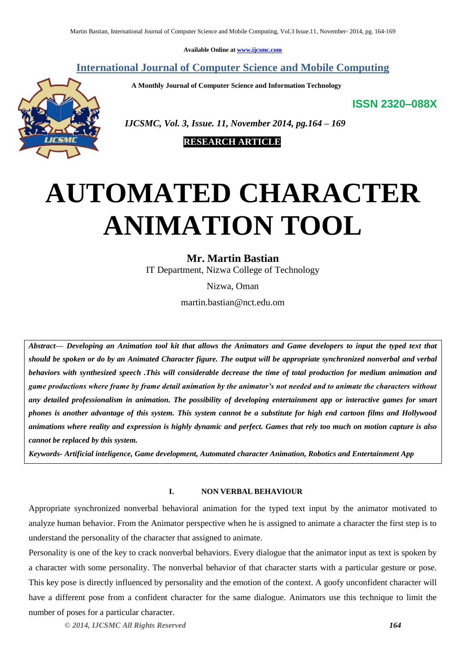**Available Online at [www.ijcsmc.com](http://www.ijcsmc.com/)**

## **International Journal of Computer Science and Mobile Computing**

 **A Monthly Journal of Computer Science and Information Technology**

**ISSN 2320–088X**



 *IJCSMC, Vol. 3, Issue. 11, November 2014, pg.164 – 169*



# **AUTOMATED CHARACTER ANIMATION TOOL**

## **Mr. Martin Bastian**

IT Department, Nizwa College of Technology

Nizwa, Oman

martin.bastian@nct.edu.om

*Abstract— Developing an Animation tool kit that allows the Animators and Game developers to input the typed text that should be spoken or do by an Animated Character figure. The output will be appropriate synchronized nonverbal and verbal behaviors with synthesized speech .This will considerable decrease the time of total production for medium animation and game productions where frame by frame detail animation by the animator's not needed and to animate the characters without any detailed professionalism in animation. The possibility of developing entertainment app or interactive games for smart phones is another advantage of this system. This system cannot be a substitute for high end cartoon films and Hollywood animations where reality and expression is highly dynamic and perfect. Games that rely too much on motion capture is also cannot be replaced by this system.*

*Keywords- Artificial inteligence, Game development, Automated character Animation, Robotics and Entertainment App*

### **I. NON VERBAL BEHAVIOUR**

Appropriate synchronized nonverbal behavioral animation for the typed text input by the animator motivated to analyze human behavior. From the Animator perspective when he is assigned to animate a character the first step is to understand the personality of the character that assigned to animate.

Personality is one of the key to crack nonverbal behaviors. Every dialogue that the animator input as text is spoken by a character with some personality. The nonverbal behavior of that character starts with a particular gesture or pose. This key pose is directly influenced by personality and the emotion of the context. A goofy unconfident character will have a different pose from a confident character for the same dialogue. Animators use this technique to limit the number of poses for a particular character.

*© 2014, IJCSMC All Rights Reserved 164*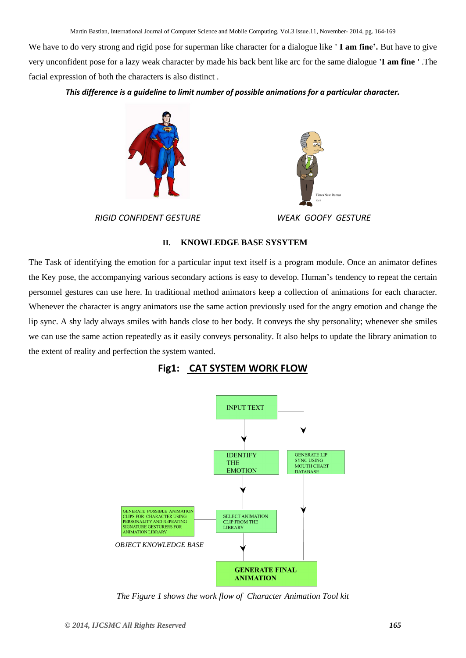We have to do very strong and rigid pose for superman like character for a dialogue like **' I am fine'.** But have to give very unconfident pose for a lazy weak character by made his back bent like arc for the same dialogue **'I am fine '** .The facial expression of both the characters is also distinct .

*This difference is a guideline to limit number of possible animations for a particular character.*



*RIGID CONFIDENT GESTURE WEAK GOOFY GESTURE*



#### **II. KNOWLEDGE BASE SYSYTEM**

The Task of identifying the emotion for a particular input text itself is a program module. Once an animator defines the Key pose, the accompanying various secondary actions is easy to develop. Human's tendency to repeat the certain personnel gestures can use here. In traditional method animators keep a collection of animations for each character. Whenever the character is angry animators use the same action previously used for the angry emotion and change the lip sync. A shy lady always smiles with hands close to her body. It conveys the shy personality; whenever she smiles we can use the same action repeatedly as it easily conveys personality. It also helps to update the library animation to the extent of reality and perfection the system wanted.





*The Figure 1 shows the work flow of Character Animation Tool kit*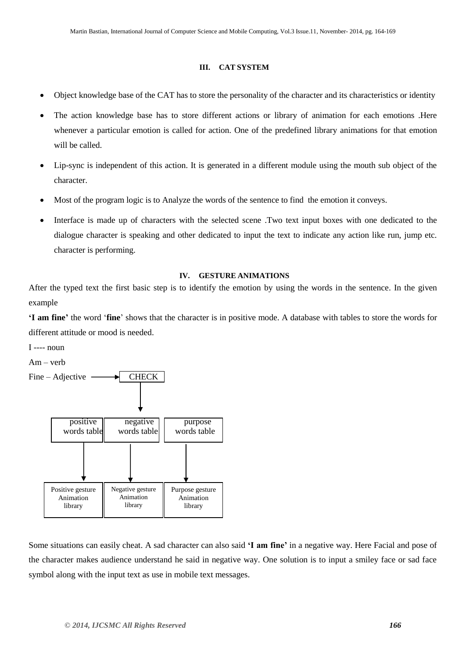#### **III. CAT SYSTEM**

- Object knowledge base of the CAT has to store the personality of the character and its characteristics or identity
- The action knowledge base has to store different actions or library of animation for each emotions .Here whenever a particular emotion is called for action. One of the predefined library animations for that emotion will be called.
- Lip-sync is independent of this action. It is generated in a different module using the mouth sub object of the character.
- Most of the program logic is to Analyze the words of the sentence to find the emotion it conveys.
- Interface is made up of characters with the selected scene .Two text input boxes with one dedicated to the dialogue character is speaking and other dedicated to input the text to indicate any action like run, jump etc. character is performing.

#### **IV. GESTURE ANIMATIONS**

After the typed text the first basic step is to identify the emotion by using the words in the sentence. In the given example

**'I am fine'** the word '**fine**' shows that the character is in positive mode. A database with tables to store the words for different attitude or mood is needed.

I ---- noun

Am – verb



Some situations can easily cheat. A sad character can also said **'I am fine'** in a negative way. Here Facial and pose of the character makes audience understand he said in negative way. One solution is to input a smiley face or sad face symbol along with the input text as use in mobile text messages.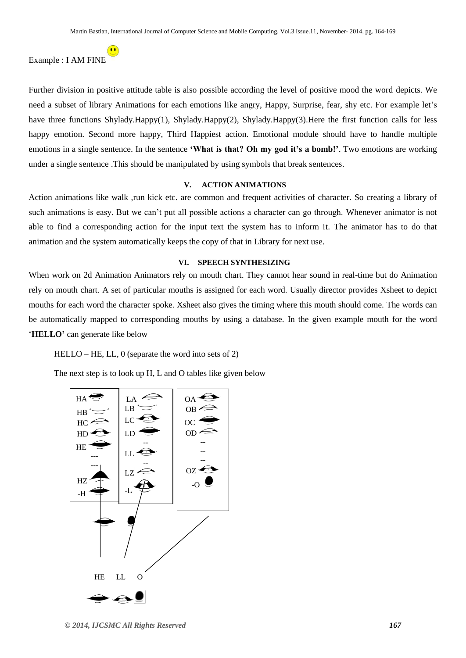Example : I AM FINE

Further division in positive attitude table is also possible according the level of positive mood the word depicts. We need a subset of library Animations for each emotions like angry, Happy, Surprise, fear, shy etc. For example let's have three functions Shylady.Happy(1), Shylady.Happy(2), Shylady.Happy(3).Here the first function calls for less happy emotion. Second more happy, Third Happiest action. Emotional module should have to handle multiple emotions in a single sentence. In the sentence **'What is that? Oh my god it's a bomb!'**. Two emotions are working under a single sentence .This should be manipulated by using symbols that break sentences.

#### **V. ACTION ANIMATIONS**

Action animations like walk ,run kick etc. are common and frequent activities of character. So creating a library of such animations is easy. But we can't put all possible actions a character can go through. Whenever animator is not able to find a corresponding action for the input text the system has to inform it. The animator has to do that animation and the system automatically keeps the copy of that in Library for next use.

#### **VI. SPEECH SYNTHESIZING**

When work on 2d Animation Animators rely on mouth chart. They cannot hear sound in real-time but do Animation rely on mouth chart. A set of particular mouths is assigned for each word. Usually director provides Xsheet to depict mouths for each word the character spoke. Xsheet also gives the timing where this mouth should come. The words can be automatically mapped to corresponding mouths by using a database. In the given example mouth for the word '**HELLO'** can generate like below

HELLO – HE, LL, 0 (separate the word into sets of 2)

The next step is to look up H, L and O tables like given below

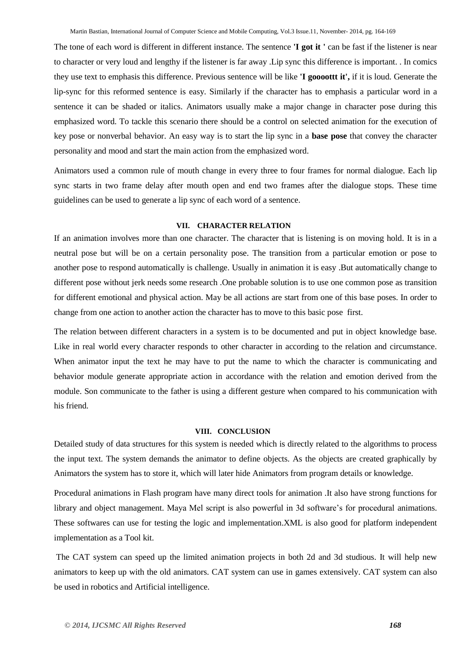The tone of each word is different in different instance. The sentence **'I got it '** can be fast if the listener is near to character or very loud and lengthy if the listener is far away .Lip sync this difference is important. . In comics they use text to emphasis this difference. Previous sentence will be like **'I goooottt it',** if it is loud. Generate the lip-sync for this reformed sentence is easy. Similarly if the character has to emphasis a particular word in a sentence it can be shaded or italics. Animators usually make a major change in character pose during this emphasized word. To tackle this scenario there should be a control on selected animation for the execution of key pose or nonverbal behavior. An easy way is to start the lip sync in a **base pose** that convey the character personality and mood and start the main action from the emphasized word.

Animators used a common rule of mouth change in every three to four frames for normal dialogue. Each lip sync starts in two frame delay after mouth open and end two frames after the dialogue stops. These time guidelines can be used to generate a lip sync of each word of a sentence.

#### **VII. CHARACTER RELATION**

If an animation involves more than one character. The character that is listening is on moving hold. It is in a neutral pose but will be on a certain personality pose. The transition from a particular emotion or pose to another pose to respond automatically is challenge. Usually in animation it is easy .But automatically change to different pose without jerk needs some research .One probable solution is to use one common pose as transition for different emotional and physical action. May be all actions are start from one of this base poses. In order to change from one action to another action the character has to move to this basic pose first.

The relation between different characters in a system is to be documented and put in object knowledge base. Like in real world every character responds to other character in according to the relation and circumstance. When animator input the text he may have to put the name to which the character is communicating and behavior module generate appropriate action in accordance with the relation and emotion derived from the module. Son communicate to the father is using a different gesture when compared to his communication with his friend.

#### **VIII. CONCLUSION**

Detailed study of data structures for this system is needed which is directly related to the algorithms to process the input text. The system demands the animator to define objects. As the objects are created graphically by Animators the system has to store it, which will later hide Animators from program details or knowledge.

Procedural animations in Flash program have many direct tools for animation .It also have strong functions for library and object management. Maya Mel script is also powerful in 3d software's for procedural animations. These softwares can use for testing the logic and implementation.XML is also good for platform independent implementation as a Tool kit.

The CAT system can speed up the limited animation projects in both 2d and 3d studious. It will help new animators to keep up with the old animators. CAT system can use in games extensively. CAT system can also be used in robotics and Artificial intelligence.